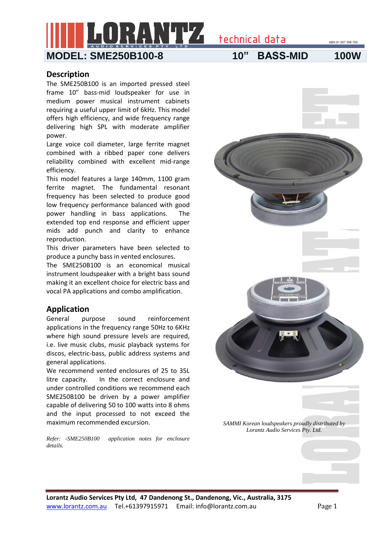technical data

## **MODEL: SME250B100-8 10" BASS-MID 100W**

#### **Description**

The SME250B100 is an imported pressed steel frame 10" bass-mid loudspeaker for use in medium power musical instrument cabinets requiring a useful upper limit of 6kHz. This model offers high efficiency, and wide frequency range delivering high SPL with moderate amplifier power.

Large voice coil diameter, large ferrite magnet combined with a ribbed paper cone delivers reliability combined with excellent mid-range efficiency.

This model features a large 140mm, 1100 gram ferrite magnet. The fundamental resonant frequency has been selected to produce good low frequency performance balanced with good power handling in bass applications. The extended top end response and efficient upper mids add punch and clarity to enhance reproduction.

This driver parameters have been selected to produce a punchy bass in vented enclosures.

The SME250B100 is an economical musical instrument loudspeaker with a bright bass sound making it an excellent choice for electric bass and vocal PA applications and combo amplification.

### **Application**

General purpose sound reinforcement applications in the frequency range 50Hz to 6KHz where high sound pressure levels are required, i.e. live music clubs, music playback systems for discos, electric-bass, public address systems and general applications.

We recommend vented enclosures of 25 to 35L litre capacity. In the correct enclosure and under controlled conditions we recommend each SME250B100 be driven by a power amplifier capable of delivering 50 to 100 watts into 8 ohms and the input processed to not exceed the maximum recommended excursion.

*Refer: -SME250B100 application notes for enclosure details.*

**Lorantz Audio Services Pty Ltd, 47 Dandenong St., Dandenong, Vic., Australia, 3175** www.lorantz.com.au Tel.+61397915971 Email: info@lorantz.com.au Page 1

ABN 91 007 396 705

*SAMMI Korean loudspeakers proudly distributed by Lorantz Audio Services Pty. Ltd.*